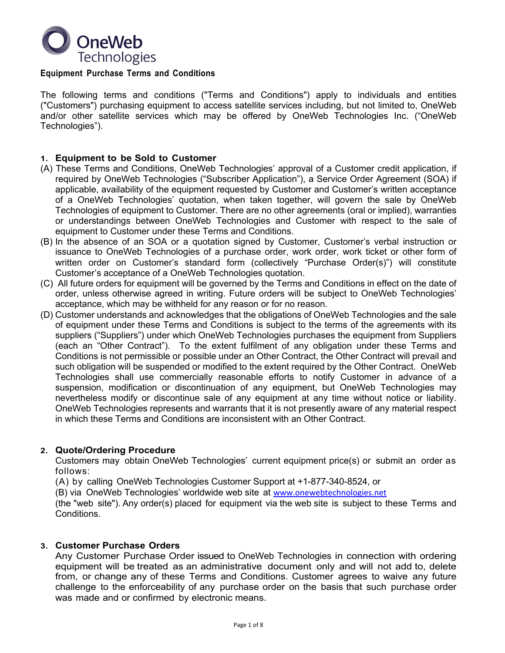

#### **Equipment Purchase Terms and Conditions**

The following terms and conditions ("Terms and Conditions") apply to individuals and entities ("Customers") purchasing equipment to access satellite services including, but not limited to, OneWeb and/or other satellite services which may be offered by OneWeb Technologies Inc. ("OneWeb Technologies").

#### **1. Equipment to be Sold to Customer**

- (A) These Terms and Conditions, OneWeb Technologies' approval of a Customer credit application, if required by OneWeb Technologies ("Subscriber Application"), a Service Order Agreement (SOA) if applicable, availability of the equipment requested by Customer and Customer's written acceptance of a OneWeb Technologies' quotation, when taken together, will govern the sale by OneWeb Technologies of equipment to Customer. There are no other agreements (oral or implied), warranties or understandings between OneWeb Technologies and Customer with respect to the sale of equipment to Customer under these Terms and Conditions.
- (B) In the absence of an SOA or a quotation signed by Customer, Customer's verbal instruction or issuance to OneWeb Technologies of a purchase order, work order, work ticket or other form of written order on Customer's standard form (collectively "Purchase Order(s)") will constitute Customer's acceptance of a OneWeb Technologies quotation.
- (C) All future orders for equipment will be governed by the Terms and Conditions in effect on the date of order, unless otherwise agreed in writing. Future orders will be subject to OneWeb Technologies' acceptance, which may be withheld for any reason or for no reason.
- (D) Customer understands and acknowledges that the obligations of OneWeb Technologies and the sale of equipment under these Terms and Conditions is subject to the terms of the agreements with its suppliers ("Suppliers") under which OneWeb Technologies purchases the equipment from Suppliers (each an "Other Contract"). To the extent fulfilment of any obligation under these Terms and Conditions is not permissible or possible under an Other Contract, the Other Contract will prevail and such obligation will be suspended or modified to the extent required by the Other Contract. OneWeb Technologies shall use commercially reasonable efforts to notify Customer in advance of a suspension, modification or discontinuation of any equipment, but OneWeb Technologies may nevertheless modify or discontinue sale of any equipment at any time without notice or liability. OneWeb Technologies represents and warrants that it is not presently aware of any material respect in which these Terms and Conditions are inconsistent with an Other Contract.

#### **2. Quote/Ordering Procedure**

Customers may obtain OneWeb Technologies' current equipment price(s) or submit an order as follows:

(A) by calling OneWeb Technologies Customer Support at +1-877-340-8524, or

(B) via OneWeb Technologies' worldwide web site at www.onewebtechnologies.net

(the "web site"). Any order(s) placed for equipment via the web site is subject to these Terms and Conditions.

#### **3. Customer Purchase Orders**

Any Customer Purchase Order issued to OneWeb Technologies in connection with ordering equipment will be treated as an administrative document only and will not add to, delete from, or change any of these Terms and Conditions. Customer agrees to waive any future challenge to the enforceability of any purchase order on the basis that such purchase order was made and or confirmed by electronic means.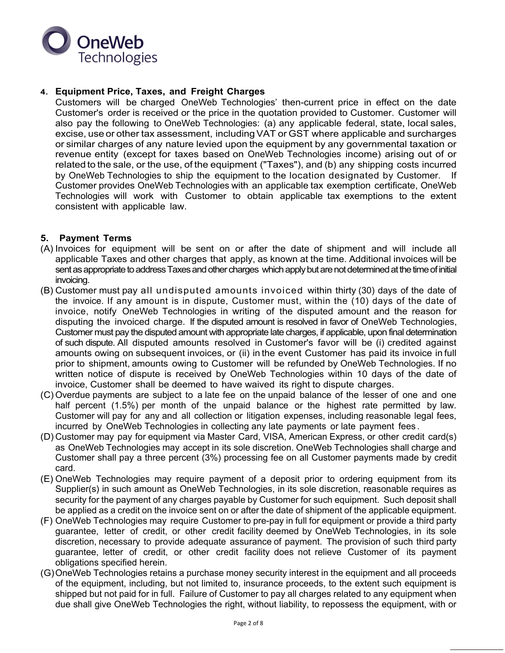

# **4. Equipment Price, Taxes, and Freight Charges**

Customers will be charged OneWeb Technologies' then-current price in effect on the date Customer's order is received or the price in the quotation provided to Customer. Customer will also pay the following to OneWeb Technologies: (a) any applicable federal, state, local sales, excise, use or other tax assessment, includingVAT or GST where applicable and surcharges or similar charges of any nature levied upon the equipment by any governmental taxation or revenue entity (except for taxes based on OneWeb Technologies income) arising out of or related to the sale, or the use, of the equipment ("Taxes"), and (b) any shipping costs incurred by OneWeb Technologies to ship the equipment to the location designated by Customer. If Customer provides OneWeb Technologies with an applicable tax exemption certificate, OneWeb Technologies will work with Customer to obtain applicable tax exemptions to the extent consistent with applicable law.

## **5. Payment Terms**

- (A) Invoices for equipment will be sent on or after the date of shipment and will include all applicable Taxes and other charges that apply, as known at the time. Additional invoices will be sent as appropriate to address Taxes and other charges which apply but are not determined at the time of initial invoicing.
- (B) Customer must pay all undisputed amounts invoiced within thirty (30) days of the date of the invoice. If any amount is in dispute, Customer must, within the (10) days of the date of invoice, notify OneWeb Technologies in writing of the disputed amount and the reason for disputing the invoiced charge. If the disputed amount is resolved in favor of OneWeb Technologies, Customer must pay the disputed amount with appropriate late charges, if applicable, upon final determination of such dispute. All disputed amounts resolved in Customer's favor will be (i) credited against amounts owing on subsequent invoices, or (ii) in the event Customer has paid its invoice in full prior to shipment, amounts owing to Customer will be refunded by OneWeb Technologies. If no written notice of dispute is received by OneWeb Technologies within 10 days of the date of invoice, Customer shall be deemed to have waived its right to dispute charges.
- (C) Overdue payments are subject to a late fee on the unpaid balance of the lesser of one and one half percent (1.5%) per month of the unpaid balance or the highest rate permitted by law. Customer will pay for any and all collection or litigation expenses, including reasonable legal fees, incurred by OneWeb Technologies in collecting any late payments or late payment fees .
- (D) Customer may pay for equipment via Master Card, VISA, American Express, or other credit card(s) as OneWeb Technologies may accept in its sole discretion. OneWeb Technologies shall charge and Customer shall pay a three percent (3%) processing fee on all Customer payments made by credit card.
- (E) OneWeb Technologies may require payment of a deposit prior to ordering equipment from its Supplier(s) in such amount as OneWeb Technologies, in its sole discretion, reasonable requires as security for the payment of any charges payable by Customer for such equipment. Such deposit shall be applied as a credit on the invoice sent on or after the date of shipment of the applicable equipment.
- (F) OneWeb Technologies may require Customer to pre-pay in full for equipment or provide a third party guarantee, letter of credit, or other credit facility deemed by OneWeb Technologies, in its sole discretion, necessary to provide adequate assurance of payment. The provision of such third party guarantee, letter of credit, or other credit facility does not relieve Customer of its payment obligations specified herein.
- (G)OneWeb Technologies retains a purchase money security interest in the equipment and all proceeds of the equipment, including, but not limited to, insurance proceeds, to the extent such equipment is shipped but not paid for in full. Failure of Customer to pay all charges related to any equipment when due shall give OneWeb Technologies the right, without liability, to repossess the equipment, with or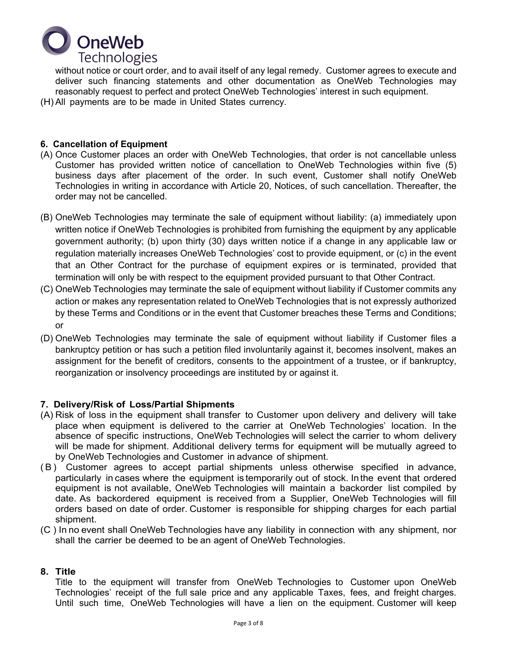

without notice or court order, and to avail itself of any legal remedy. Customer agrees to execute and deliver such financing statements and other documentation as OneWeb Technologies may reasonably request to perfect and protect OneWeb Technologies' interest in such equipment. (H) All payments are to be made in United States currency.

## **6. Cancellation of Equipment**

- (A) Once Customer places an order with OneWeb Technologies, that order is not cancellable unless Customer has provided written notice of cancellation to OneWeb Technologies within five (5) business days after placement of the order. In such event, Customer shall notify OneWeb Technologies in writing in accordance with Article 20, Notices, of such cancellation. Thereafter, the order may not be cancelled.
- (B) OneWeb Technologies may terminate the sale of equipment without liability: (a) immediately upon written notice if OneWeb Technologies is prohibited from furnishing the equipment by any applicable government authority; (b) upon thirty (30) days written notice if a change in any applicable law or regulation materially increases OneWeb Technologies' cost to provide equipment, or (c) in the event that an Other Contract for the purchase of equipment expires or is terminated, provided that termination will only be with respect to the equipment provided pursuant to that Other Contract.
- (C) OneWeb Technologies may terminate the sale of equipment without liability if Customer commits any action or makes any representation related to OneWeb Technologies that is not expressly authorized by these Terms and Conditions or in the event that Customer breaches these Terms and Conditions; or
- (D) OneWeb Technologies may terminate the sale of equipment without liability if Customer files a bankruptcy petition or has such a petition filed involuntarily against it, becomes insolvent, makes an assignment for the benefit of creditors, consents to the appointment of a trustee, or if bankruptcy, reorganization or insolvency proceedings are instituted by or against it.

# **7. Delivery/Risk of Loss/Partial Shipments**

- (A) Risk of loss in the equipment shall transfer to Customer upon delivery and delivery will take place when equipment is delivered to the carrier at OneWeb Technologies' location. In the absence of specific instructions, OneWeb Technologies will select the carrier to whom delivery will be made for shipment. Additional delivery terms for equipment will be mutually agreed to by OneWeb Technologies and Customer in advance of shipment.
- (B) Customer agrees to accept partial shipments unless otherwise specified in advance, particularly in cases where the equipment is temporarily out of stock. In the event that ordered equipment is not available, OneWeb Technologies will maintain a backorder list compiled by date. As backordered equipment is received from a Supplier, OneWeb Technologies will fill orders based on date of order. Customer is responsible for shipping charges for each partial shipment.
- (C ) In no event shall OneWeb Technologies have any liability in connection with any shipment, nor shall the carrier be deemed to be an agent of OneWeb Technologies.

## **8. Title**

Title to the equipment will transfer from OneWeb Technologies to Customer upon OneWeb Technologies' receipt of the full sale price and any applicable Taxes, fees, and freight charges. Until such time, OneWeb Technologies will have a lien on the equipment. Customer will keep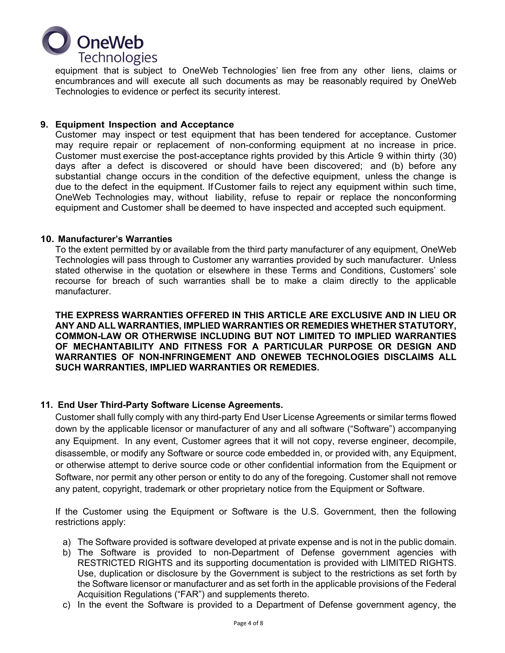

equipment that is subject to OneWeb Technologies' lien free from any other liens, claims or encumbrances and will execute all such documents as may be reasonably required by OneWeb Technologies to evidence or perfect its security interest.

## **9. Equipment Inspection and Acceptance**

Customer may inspect or test equipment that has been tendered for acceptance. Customer may require repair or replacement of non-conforming equipment at no increase in price. Customer must exercise the post-acceptance rights provided by this Article 9 within thirty (30) days after a defect is discovered or should have been discovered; and (b) before any substantial change occurs in the condition of the defective equipment, unless the change is due to the defect in the equipment. IfCustomer fails to reject any equipment within such time, OneWeb Technologies may, without liability, refuse to repair or replace the nonconforming equipment and Customer shall be deemed to have inspected and accepted such equipment.

### **10. Manufacturer's Warranties**

To the extent permitted by or available from the third party manufacturer of any equipment, OneWeb Technologies will pass through to Customer any warranties provided by such manufacturer. Unless stated otherwise in the quotation or elsewhere in these Terms and Conditions, Customers' sole recourse for breach of such warranties shall be to make a claim directly to the applicable manufacturer.

**THE EXPRESS WARRANTIES OFFERED IN THIS ARTICLE ARE EXCLUSIVE AND IN LIEU OR ANY AND ALL WARRANTIES, IMPLIED WARRANTIES OR REMEDIES WHETHER STATUTORY, COMMON-LAW OR OTHERWISE INCLUDING BUT NOT LIMITED TO IMPLIED WARRANTIES OF MECHANTABILITY AND FITNESS FOR A PARTICULAR PURPOSE OR DESIGN AND WARRANTIES OF NON-INFRINGEMENT AND ONEWEB TECHNOLOGIES DISCLAIMS ALL SUCH WARRANTIES, IMPLIED WARRANTIES OR REMEDIES.**

# **11. End User Third-Party Software License Agreements.**

Customer shall fully comply with any third-party End User License Agreements or similar terms flowed down by the applicable licensor or manufacturer of any and all software ("Software") accompanying any Equipment. In any event, Customer agrees that it will not copy, reverse engineer, decompile, disassemble, or modify any Software or source code embedded in, or provided with, any Equipment, or otherwise attempt to derive source code or other confidential information from the Equipment or Software, nor permit any other person or entity to do any of the foregoing. Customer shall not remove any patent, copyright, trademark or other proprietary notice from the Equipment or Software.

If the Customer using the Equipment or Software is the U.S. Government, then the following restrictions apply:

- a) The Software provided is software developed at private expense and is not in the public domain.
- b) The Software is provided to non-Department of Defense government agencies with RESTRICTED RIGHTS and its supporting documentation is provided with LIMITED RIGHTS. Use, duplication or disclosure by the Government is subject to the restrictions as set forth by the Software licensor or manufacturer and as set forth in the applicable provisions of the Federal Acquisition Regulations ("FAR") and supplements thereto.
- c) In the event the Software is provided to a Department of Defense government agency, the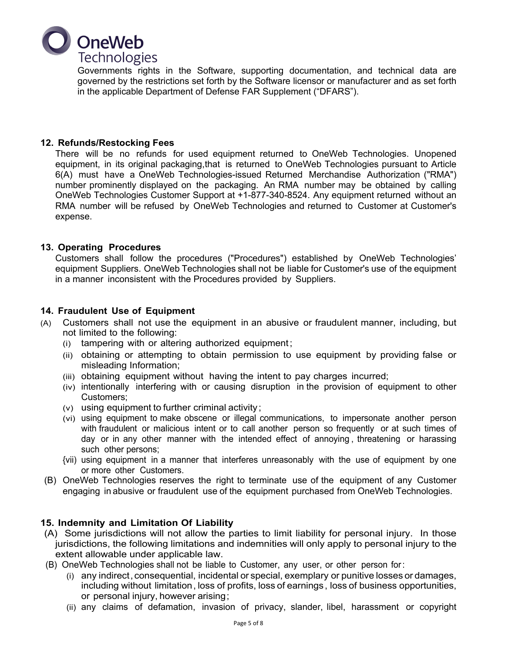

Governments rights in the Software, supporting documentation, and technical data are governed by the restrictions set forth by the Software licensor or manufacturer and as set forth in the applicable Department of Defense FAR Supplement ("DFARS").

## **12. Refunds/Restocking Fees**

There will be no refunds for used equipment returned to OneWeb Technologies. Unopened equipment, in its original packaging, that is returned to OneWeb Technologies pursuant to Article 6(A) must have a OneWeb Technologies-issued Returned Merchandise Authorization ("RMA") number prominently displayed on the packaging. An RMA number may be obtained by calling OneWeb Technologies Customer Support at +1-877-340-8524. Any equipment returned without an RMA number will be refused by OneWeb Technologies and returned to Customer at Customer's expense.

## **13. Operating Procedures**

Customers shall follow the procedures ("Procedures") established by OneWeb Technologies' equipment Suppliers. OneWeb Technologies shall not be liable for Customer's use of the equipment in a manner inconsistent with the Procedures provided by Suppliers.

## **14. Fraudulent Use of Equipment**

- (A) Customers shall not use the equipment in an abusive or fraudulent manner, including, but not limited to the following:
	- (i) tampering with or altering authorized equipment;
	- (ii) obtaining or attempting to obtain permission to use equipment by providing false or misleading Information;
	- (iii) obtaining equipment without having the intent to pay charges incurred;
	- (iv) intentionally interfering with or causing disruption in the provision of equipment to other Customers;
	- (v) using equipment to further criminal activity;
	- (vi) using equipment to make obscene or illegal communications, to impersonate another person with fraudulent or malicious intent or to call another person so frequently or at such times of day or in any other manner with the intended effect of annoying , threatening or harassing such other persons;
	- {vii) using equipment in a manner that interferes unreasonably with the use of equipment by one or more other Customers.
- (B) OneWeb Technologies reserves the right to terminate use of the equipment of any Customer engaging in abusive or fraudulent use of the equipment purchased from OneWeb Technologies.

# **15. Indemnity and Limitation Of Liability**

- (A) Some jurisdictions will not allow the parties to limit liability for personal injury. In those jurisdictions, the following limitations and indemnities will only apply to personal injury to the extent allowable under applicable law.
- (B) OneWeb Technologies shall not be liable to Customer, any user, or other person for:
	- (i) any indirect, consequential, incidental or special, exemplary or punitive losses or damages, including without limitation, loss of profits, loss of earnings, loss of business opportunities, or personal injury, however arising;
	- (ii) any claims of defamation, invasion of privacy, slander, libel, harassment or copyright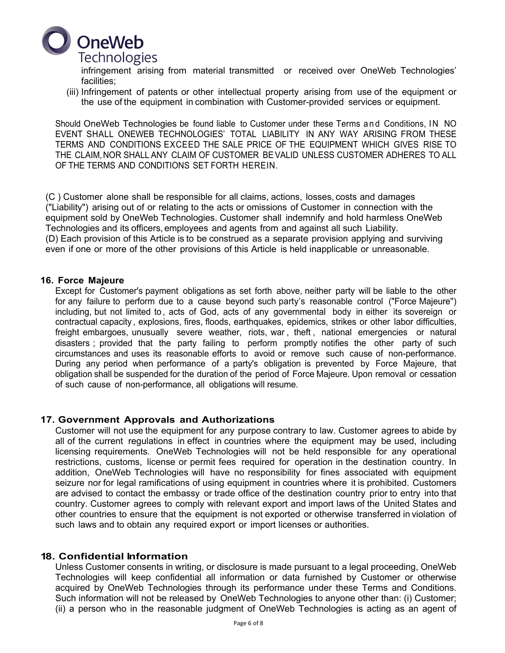

infringement arising from material transmitted or received over OneWeb Technologies' facilities;

(iii) Infringement of patents or other intellectual property arising from use of the equipment or the use of the equipment in combination with Customer-provided services or equipment.

Should OneWeb Technologies be found liable to Customer under these Terms and Conditions, IN NO EVENT SHALL ONEWEB TECHNOLOGIES' TOTAL LIABILITY IN ANY WAY ARISING FROM THESE TERMS AND CONDITIONS EXCEED THE SALE PRICE OF THE EQUIPMENT WHICH GIVES RISE TO THE CLAIM,NOR SHALL ANY CLAIM OF CUSTOMER BEVALID UNLESS CUSTOMER ADHERES TO ALL OF THE TERMS AND CONDITIONS SET FORTH HEREIN.

(C ) Customer alone shall be responsible for all claims, actions, losses, costs and damages ("Liability") arising out of or relating to the acts or omissions of Customer in connection with the equipment sold by OneWeb Technologies. Customer shall indemnify and hold harmless OneWeb Technologies and its officers, employees and agents from and against all such Liability. (D) Each provision of this Article is to be construed as a separate provision applying and surviving even if one or more of the other provisions of this Article is held inapplicable or unreasonable.

#### **16. Force Majeure**

Except for Customer's payment obligations as set forth above, neither party will be liable to the other for any failure to perform due to a cause beyond such party's reasonable control ("Force Majeure'') including, but not limited to , acts of God, acts of any governmental body in either its sovereign or contractual capacity , explosions, fires, floods, earthquakes, epidemics, strikes or other labor difficulties, freight embargoes, unusually severe weather, riots, war, theft, national emergencies or natural disasters ; provided that the party failing to perform promptly notifies the other party of such circumstances and uses its reasonable efforts to avoid or remove such cause of non-performance. During any period when performance of a party's obligation is prevented by Force Majeure, that obligation shall be suspended for the duration of the period of Force Majeure. Upon removal or cessation of such cause of non-performance, all obligations will resume.

### **17. Government Approvals and Authorizations**

Customer will not use the equipment for any purpose contrary to law. Customer agrees to abide by all of the current regulations in effect in countries where the equipment may be used, including licensing requirements. OneWeb Technologies will not be held responsible for any operational restrictions, customs, license or permit fees required for operation in the destination country. In addition, OneWeb Technologies will have no responsibility for fines associated with equipment seizure nor for legal ramifications of using equipment in countries where it is prohibited. Customers are advised to contact the embassy or trade office of the destination country prior to entry into that country. Customer agrees to comply with relevant export and import laws of the United States and other countries to ensure that the equipment is not exported or otherwise transferred in violation of such laws and to obtain any required export or import licenses or authorities.

### **18. Confidential Information**

Unless Customer consents in writing, or disclosure is made pursuant to a legal proceeding, OneWeb Technologies will keep confidential all information or data furnished by Customer or otherwise acquired by OneWeb Technologies through its performance under these Terms and Conditions. Such information will not be released by OneWeb Technologies to anyone other than: (i) Customer; (ii) a person who in the reasonable judgment of OneWeb Technologies is acting as an agent of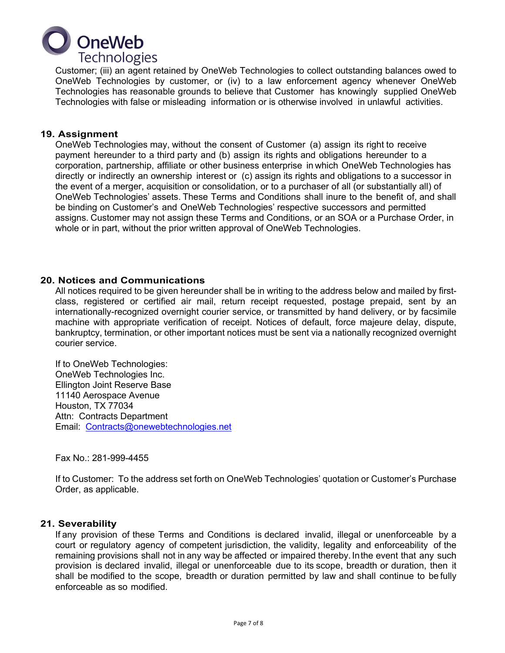

Customer; (iii) an agent retained by OneWeb Technologies to collect outstanding balances owed to OneWeb Technologies by customer, or (iv) to a law enforcement agency whenever OneWeb Technologies has reasonable grounds to believe that Customer has knowingly supplied OneWeb Technologies with false or misleading information or is otherwise involved in unlawful activities.

### **19. Assignment**

OneWeb Technologies may, without the consent of Customer (a) assign its right to receive payment hereunder to a third party and (b) assign its rights and obligations hereunder to a corporation, partnership, affiliate or other business enterprise in which OneWeb Technologies has directly or indirectly an ownership interest or (c) assign its rights and obligations to a successor in the event of a merger, acquisition or consolidation, or to a purchaser of all (or substantially all) of OneWeb Technologies' assets. These Terms and Conditions shall inure to the benefit of, and shall be binding on Customer's and OneWeb Technologies' respective successors and permitted assigns. Customer may not assign these Terms and Conditions, or an SOA or a Purchase Order, in whole or in part, without the prior written approval of OneWeb Technologies.

## **20. Notices and Communications**

All notices required to be given hereunder shall be in writing to the address below and mailed by firstclass, registered or certified air mail, return receipt requested, postage prepaid, sent by an internationally-recognized overnight courier service, or transmitted by hand delivery, or by facsimile machine with appropriate verification of receipt. Notices of default, force majeure delay, dispute, bankruptcy, termination, or other important notices must be sent via a nationally recognized overnight courier service.

If to OneWeb Technologies: OneWeb Technologies Inc. Ellington Joint Reserve Base 11140 Aerospace Avenue Houston, TX 77034 Attn: Contracts Department Email: Contracts@onewebtechnologies.net

Fax No.: 281-999-4455

If to Customer: To the address set forth on OneWeb Technologies' quotation or Customer's Purchase Order, as applicable.

### **21. Severability**

If any provision of these Terms and Conditions is declared invalid, illegal or unenforceable by a court or regulatory agency of competent jurisdiction, the validity, legality and enforceability of the remaining provisions shall not in any way be affected or impaired thereby. Inthe event that any such provision is declared invalid, illegal or unenforceable due to its scope, breadth or duration, then it shall be modified to the scope, breadth or duration permitted by law and shall continue to be fully enforceable as so modified.